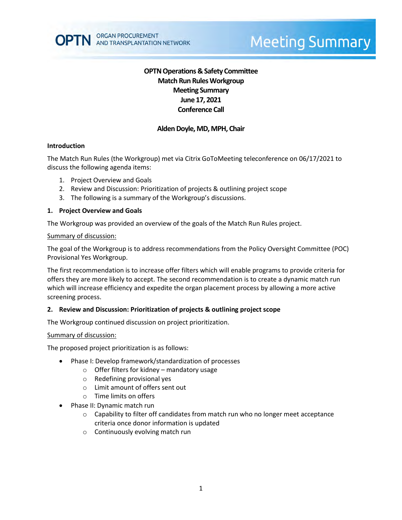# **Meeting Summary**

## **OPTN Operations & Safety Committee Match Run RulesWorkgroup Meeting Summary June 17, 2021 Conference Call**

## **Alden Doyle, MD, MPH, Chair**

#### **Introduction**

The Match Run Rules (the Workgroup) met via Citrix GoToMeeting teleconference on 06/17/2021 to discuss the following agenda items:

- 1. Project Overview and Goals
- 2. Review and Discussion: Prioritization of projects & outlining project scope
- 3. The following is a summary of the Workgroup's discussions.

#### **1. Project Overview and Goals**

The Workgroup was provided an overview of the goals of the Match Run Rules project.

#### Summary of discussion:

The goal of the Workgroup is to address recommendations from the Policy Oversight Committee (POC) Provisional Yes Workgroup.

The first recommendation is to increase offer filters which will enable programs to provide criteria for offers they are more likely to accept. The second recommendation is to create a dynamic match run which will increase efficiency and expedite the organ placement process by allowing a more active screening process.

#### **2. Review and Discussion: Prioritization of projects & outlining project scope**

The Workgroup continued discussion on project prioritization.

#### Summary of discussion:

The proposed project prioritization is as follows:

- Phase I: Develop framework/standardization of processes
	- o Offer filters for kidney mandatory usage
	- o Redefining provisional yes
	- o Limit amount of offers sent out
	- o Time limits on offers
- Phase II: Dynamic match run
	- $\circ$  Capability to filter off candidates from match run who no longer meet acceptance criteria once donor information is updated
	- o Continuously evolving match run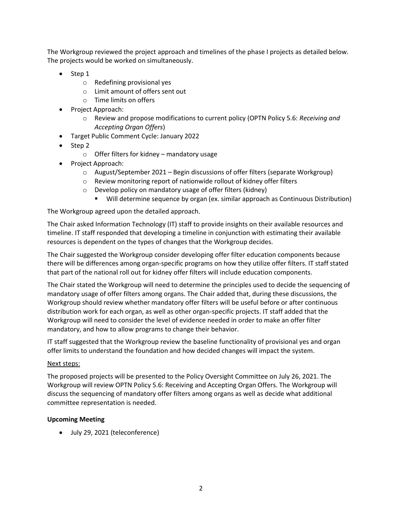The Workgroup reviewed the project approach and timelines of the phase I projects as detailed below. The projects would be worked on simultaneously.

- $\bullet$  Step 1
	- o Redefining provisional yes
	- o Limit amount of offers sent out
	- o Time limits on offers
- Project Approach:
	- o Review and propose modifications to current policy (OPTN Policy 5.6: *Receiving and Accepting Organ Offers*)
- Target Public Comment Cycle: January 2022
- $\bullet$  Step 2
	- $\circ$  Offer filters for kidney mandatory usage
- Project Approach:
	- o August/September 2021 Begin discussions of offer filters (separate Workgroup)
	- o Review monitoring report of nationwide rollout of kidney offer filters
	- o Develop policy on mandatory usage of offer filters (kidney)
		- Will determine sequence by organ (ex. similar approach as Continuous Distribution)

The Workgroup agreed upon the detailed approach.

The Chair asked Information Technology (IT) staff to provide insights on their available resources and timeline. IT staff responded that developing a timeline in conjunction with estimating their available resources is dependent on the types of changes that the Workgroup decides.

The Chair suggested the Workgroup consider developing offer filter education components because there will be differences among organ-specific programs on how they utilize offer filters. IT staff stated that part of the national roll out for kidney offer filters will include education components.

The Chair stated the Workgroup will need to determine the principles used to decide the sequencing of mandatory usage of offer filters among organs. The Chair added that, during these discussions, the Workgroup should review whether mandatory offer filters will be useful before or after continuous distribution work for each organ, as well as other organ-specific projects. IT staff added that the Workgroup will need to consider the level of evidence needed in order to make an offer filter mandatory, and how to allow programs to change their behavior.

IT staff suggested that the Workgroup review the baseline functionality of provisional yes and organ offer limits to understand the foundation and how decided changes will impact the system.

## Next steps:

The proposed projects will be presented to the Policy Oversight Committee on July 26, 2021. The Workgroup will review OPTN Policy 5.6: Receiving and Accepting Organ Offers. The Workgroup will discuss the sequencing of mandatory offer filters among organs as well as decide what additional committee representation is needed.

## **Upcoming Meeting**

July 29, 2021 (teleconference)